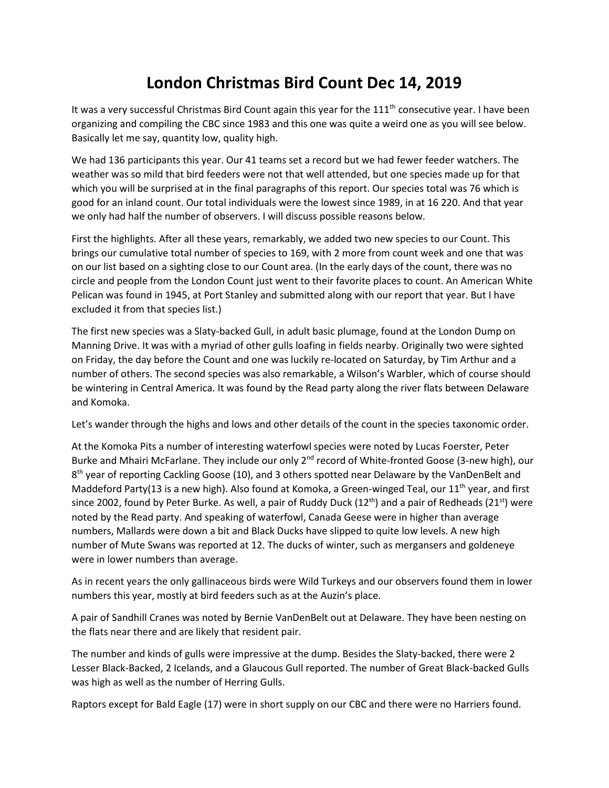## **London Christmas Bird Count Dec 14, 2019**

It was a very successful Christmas Bird Count again this year for the 111<sup>th</sup> consecutive year. I have been organizing and compiling the CBC since 1983 and this one was quite a weird one as you will see below. Basically let me say, quantity low, quality high.

We had 136 participants this year. Our 41 teams set a record but we had fewer feeder watchers. The weather was so mild that bird feeders were not that well attended, but one species made up for that which you will be surprised at in the final paragraphs of this report. Our species total was 76 which is good for an inland count. Our total individuals were the lowest since 1989, in at 16 220. And that year we only had half the number of observers. I will discuss possible reasons below.

First the highlights. After all these years, remarkably, we added two new species to our Count. This brings our cumulative total number of species to 169, with 2 more from count week and one that was on our list based on a sighting close to our Count area. (In the early days of the count, there was no circle and people from the London Count just went to their favorite places to count. An American White Pelican was found in 1945, at Port Stanley and submitted along with our report that year. But I have excluded it from that species list.)

The first new species was a Slaty-backed Gull, in adult basic plumage, found at the London Dump on Manning Drive. It was with a myriad of other gulls loafing in fields nearby. Originally two were sighted on Friday, the day before the Count and one was luckily re-located on Saturday, by Tim Arthur and a number of others. The second species was also remarkable, a Wilson's Warbler, which of course should be wintering in Central America. It was found by the Read party along the river flats between Delaware and Komoka.

Let's wander through the highs and lows and other details of the count in the species taxonomic order.

At the Komoka Pits a number of interesting waterfowl species were noted by Lucas Foerster, Peter Burke and Mhairi McFarlane. They include our only  $2^{nd}$  record of White-fronted Goose (3-new high), our 8<sup>th</sup> year of reporting Cackling Goose (10), and 3 others spotted near Delaware by the VanDenBelt and Maddeford Party(13 is a new high). Also found at Komoka, a Green-winged Teal, our  $11<sup>th</sup>$  year, and first since 2002, found by Peter Burke. As well, a pair of Ruddy Duck (12<sup>th</sup>) and a pair of Redheads (21<sup>st</sup>) were noted by the Read party. And speaking of waterfowl, Canada Geese were in higher than average numbers, Mallards were down a bit and Black Ducks have slipped to quite low levels. A new high number of Mute Swans was reported at 12. The ducks of winter, such as mergansers and goldeneye were in lower numbers than average.

As in recent years the only gallinaceous birds were Wild Turkeys and our observers found them in lower numbers this year, mostly at bird feeders such as at the Auzin's place.

A pair of Sandhill Cranes was noted by Bernie VanDenBelt out at Delaware. They have been nesting on the flats near there and are likely that resident pair.

The number and kinds of gulls were impressive at the dump. Besides the Slaty-backed, there were 2 Lesser Black-Backed, 2 Icelands, and a Glaucous Gull reported. The number of Great Black-backed Gulls was high as well as the number of Herring Gulls.

Raptors except for Bald Eagle (17) were in short supply on our CBC and there were no Harriers found.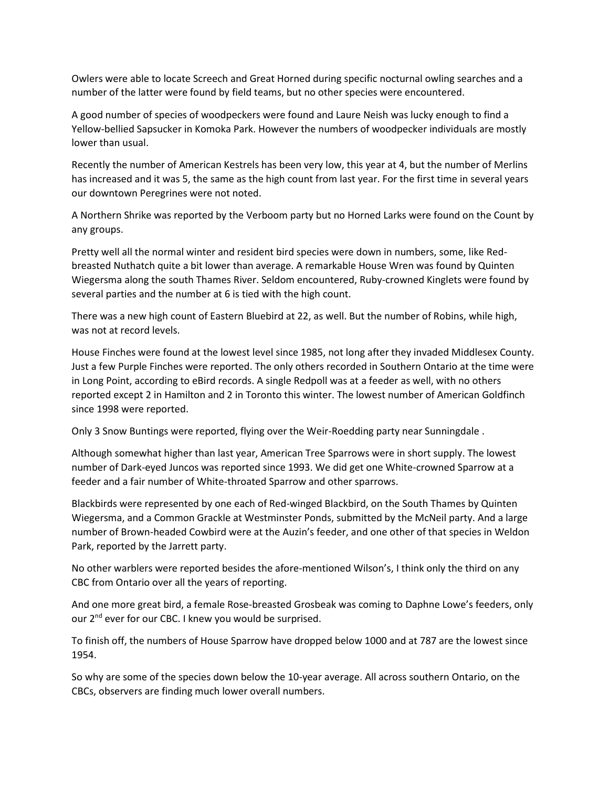Owlers were able to locate Screech and Great Horned during specific nocturnal owling searches and a number of the latter were found by field teams, but no other species were encountered.

A good number of species of woodpeckers were found and Laure Neish was lucky enough to find a Yellow-bellied Sapsucker in Komoka Park. However the numbers of woodpecker individuals are mostly lower than usual.

Recently the number of American Kestrels has been very low, this year at 4, but the number of Merlins has increased and it was 5, the same as the high count from last year. For the first time in several years our downtown Peregrines were not noted.

A Northern Shrike was reported by the Verboom party but no Horned Larks were found on the Count by any groups.

Pretty well all the normal winter and resident bird species were down in numbers, some, like Redbreasted Nuthatch quite a bit lower than average. A remarkable House Wren was found by Quinten Wiegersma along the south Thames River. Seldom encountered, Ruby-crowned Kinglets were found by several parties and the number at 6 is tied with the high count.

There was a new high count of Eastern Bluebird at 22, as well. But the number of Robins, while high, was not at record levels.

House Finches were found at the lowest level since 1985, not long after they invaded Middlesex County. Just a few Purple Finches were reported. The only others recorded in Southern Ontario at the time were in Long Point, according to eBird records. A single Redpoll was at a feeder as well, with no others reported except 2 in Hamilton and 2 in Toronto this winter. The lowest number of American Goldfinch since 1998 were reported.

Only 3 Snow Buntings were reported, flying over the Weir-Roedding party near Sunningdale .

Although somewhat higher than last year, American Tree Sparrows were in short supply. The lowest number of Dark-eyed Juncos was reported since 1993. We did get one White-crowned Sparrow at a feeder and a fair number of White-throated Sparrow and other sparrows.

Blackbirds were represented by one each of Red-winged Blackbird, on the South Thames by Quinten Wiegersma, and a Common Grackle at Westminster Ponds, submitted by the McNeil party. And a large number of Brown-headed Cowbird were at the Auzin's feeder, and one other of that species in Weldon Park, reported by the Jarrett party.

No other warblers were reported besides the afore-mentioned Wilson's, I think only the third on any CBC from Ontario over all the years of reporting.

And one more great bird, a female Rose-breasted Grosbeak was coming to Daphne Lowe's feeders, only our 2<sup>nd</sup> ever for our CBC. I knew you would be surprised.

To finish off, the numbers of House Sparrow have dropped below 1000 and at 787 are the lowest since 1954.

So why are some of the species down below the 10-year average. All across southern Ontario, on the CBCs, observers are finding much lower overall numbers.